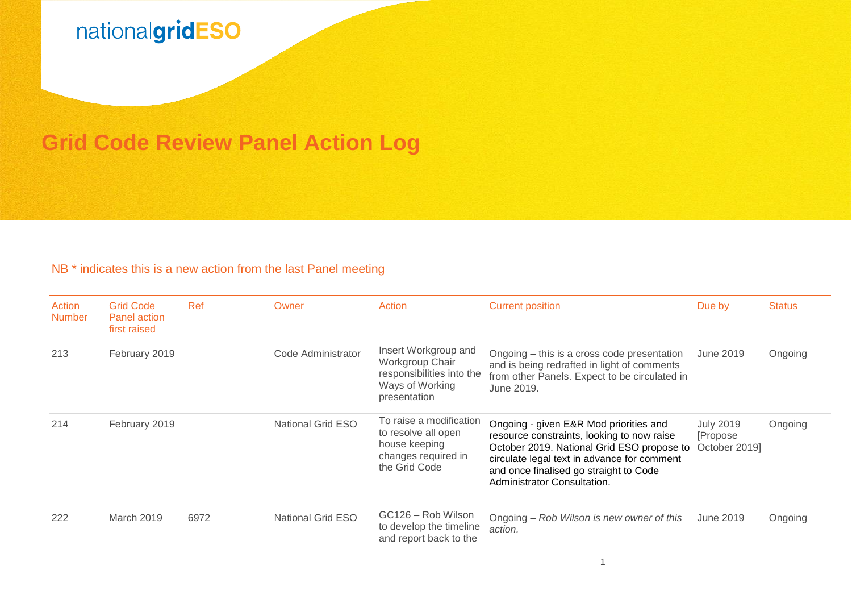### **Grid Code Review Panel Action Log**

#### NB<sup>\*</sup> indicates this is a new action from the last Panel meeting

| Action<br><b>Number</b> | <b>Grid Code</b><br>Panel action<br>first raised | Ref  | Owner                    | Action                                                                                                  | <b>Current position</b>                                                                                                                                                                                                                                    | Due by                                        | <b>Status</b> |
|-------------------------|--------------------------------------------------|------|--------------------------|---------------------------------------------------------------------------------------------------------|------------------------------------------------------------------------------------------------------------------------------------------------------------------------------------------------------------------------------------------------------------|-----------------------------------------------|---------------|
| 213                     | February 2019                                    |      | Code Administrator       | Insert Workgroup and<br>Workgroup Chair<br>responsibilities into the<br>Ways of Working<br>presentation | Ongoing – this is a cross code presentation<br>and is being redrafted in light of comments<br>from other Panels. Expect to be circulated in<br>June 2019.                                                                                                  | June 2019                                     | Ongoing       |
| 214                     | February 2019                                    |      | National Grid ESO        | To raise a modification<br>to resolve all open<br>house keeping<br>changes required in<br>the Grid Code | Ongoing - given E&R Mod priorities and<br>resource constraints, looking to now raise<br>October 2019. National Grid ESO propose to<br>circulate legal text in advance for comment<br>and once finalised go straight to Code<br>Administrator Consultation. | <b>July 2019</b><br>[Propose<br>October 2019] | Ongoing       |
| 222                     | March 2019                                       | 6972 | <b>National Grid ESO</b> | GC126 - Rob Wilson<br>to develop the timeline<br>and report back to the                                 | Ongoing – Rob Wilson is new owner of this<br>action.                                                                                                                                                                                                       | June 2019                                     | Ongoing       |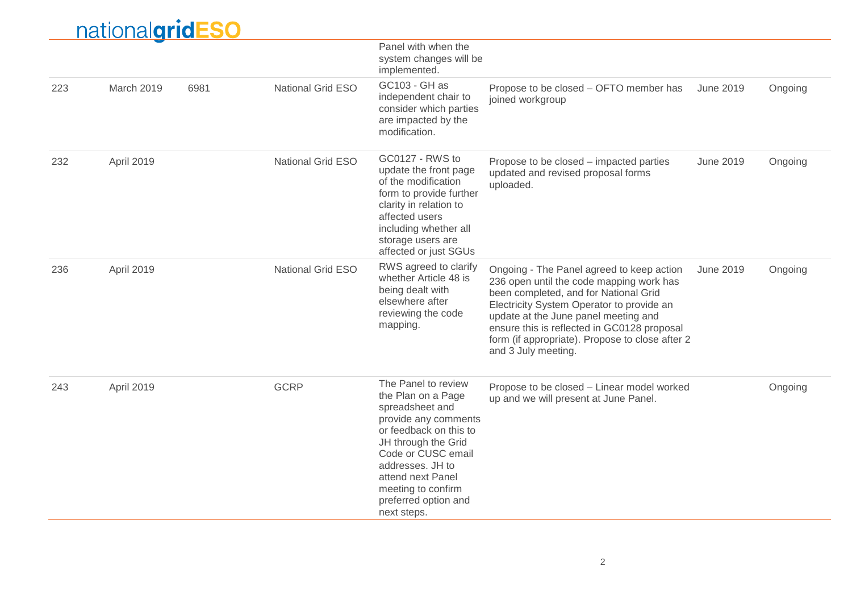|     | nationalgridESO |      |                          |                                                                                                                                                                                                                                                                   |                                                                                                                                                                                                                                                                                                                                              |                  |         |
|-----|-----------------|------|--------------------------|-------------------------------------------------------------------------------------------------------------------------------------------------------------------------------------------------------------------------------------------------------------------|----------------------------------------------------------------------------------------------------------------------------------------------------------------------------------------------------------------------------------------------------------------------------------------------------------------------------------------------|------------------|---------|
|     |                 |      |                          | Panel with when the<br>system changes will be<br>implemented.                                                                                                                                                                                                     |                                                                                                                                                                                                                                                                                                                                              |                  |         |
| 223 | March 2019      | 6981 | <b>National Grid ESO</b> | GC103 - GH as<br>independent chair to<br>consider which parties<br>are impacted by the<br>modification.                                                                                                                                                           | Propose to be closed - OFTO member has<br>joined workgroup                                                                                                                                                                                                                                                                                   | <b>June 2019</b> | Ongoing |
| 232 | April 2019      |      | National Grid ESO        | GC0127 - RWS to<br>update the front page<br>of the modification<br>form to provide further<br>clarity in relation to<br>affected users<br>including whether all<br>storage users are<br>affected or just SGUs                                                     | Propose to be closed – impacted parties<br>updated and revised proposal forms<br>uploaded.                                                                                                                                                                                                                                                   | <b>June 2019</b> | Ongoing |
| 236 | April 2019      |      | <b>National Grid ESO</b> | RWS agreed to clarify<br>whether Article 48 is<br>being dealt with<br>elsewhere after<br>reviewing the code<br>mapping.                                                                                                                                           | Ongoing - The Panel agreed to keep action<br>236 open until the code mapping work has<br>been completed, and for National Grid<br>Electricity System Operator to provide an<br>update at the June panel meeting and<br>ensure this is reflected in GC0128 proposal<br>form (if appropriate). Propose to close after 2<br>and 3 July meeting. | <b>June 2019</b> | Ongoing |
| 243 | April 2019      |      | <b>GCRP</b>              | The Panel to review<br>the Plan on a Page<br>spreadsheet and<br>provide any comments<br>or feedback on this to<br>JH through the Grid<br>Code or CUSC email<br>addresses. JH to<br>attend next Panel<br>meeting to confirm<br>preferred option and<br>next steps. | Propose to be closed - Linear model worked<br>up and we will present at June Panel.                                                                                                                                                                                                                                                          |                  | Ongoing |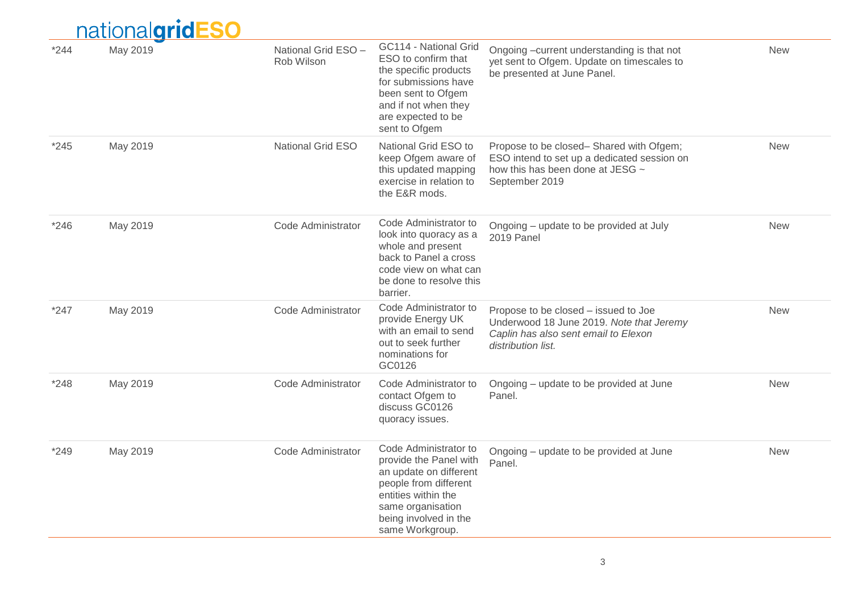|        | nationalgridESO |                                   |                                                                                                                                                                                            |                                                                                                                                                |            |
|--------|-----------------|-----------------------------------|--------------------------------------------------------------------------------------------------------------------------------------------------------------------------------------------|------------------------------------------------------------------------------------------------------------------------------------------------|------------|
| $*244$ | May 2019        | National Grid ESO -<br>Rob Wilson | GC114 - National Grid<br>ESO to confirm that<br>the specific products<br>for submissions have<br>been sent to Ofgem<br>and if not when they<br>are expected to be<br>sent to Ofgem         | Ongoing -current understanding is that not<br>yet sent to Ofgem. Update on timescales to<br>be presented at June Panel.                        | <b>New</b> |
| $*245$ | May 2019        | National Grid ESO                 | National Grid ESO to<br>keep Ofgem aware of<br>this updated mapping<br>exercise in relation to<br>the E&R mods.                                                                            | Propose to be closed-Shared with Ofgem;<br>ESO intend to set up a dedicated session on<br>how this has been done at JESG ~<br>September 2019   | <b>New</b> |
| $*246$ | May 2019        | Code Administrator                | Code Administrator to<br>look into quoracy as a<br>whole and present<br>back to Panel a cross<br>code view on what can<br>be done to resolve this<br>barrier.                              | Ongoing – update to be provided at July<br>2019 Panel                                                                                          | <b>New</b> |
| $*247$ | May 2019        | Code Administrator                | Code Administrator to<br>provide Energy UK<br>with an email to send<br>out to seek further<br>nominations for<br>GC0126                                                                    | Propose to be closed - issued to Joe<br>Underwood 18 June 2019. Note that Jeremy<br>Caplin has also sent email to Elexon<br>distribution list. | <b>New</b> |
| $*248$ | May 2019        | Code Administrator                | Code Administrator to<br>contact Ofgem to<br>discuss GC0126<br>quoracy issues.                                                                                                             | Ongoing – update to be provided at June<br>Panel.                                                                                              | <b>New</b> |
| *249   | May 2019        | Code Administrator                | Code Administrator to<br>provide the Panel with<br>an update on different<br>people from different<br>entities within the<br>same organisation<br>being involved in the<br>same Workgroup. | Ongoing – update to be provided at June<br>Panel.                                                                                              | <b>New</b> |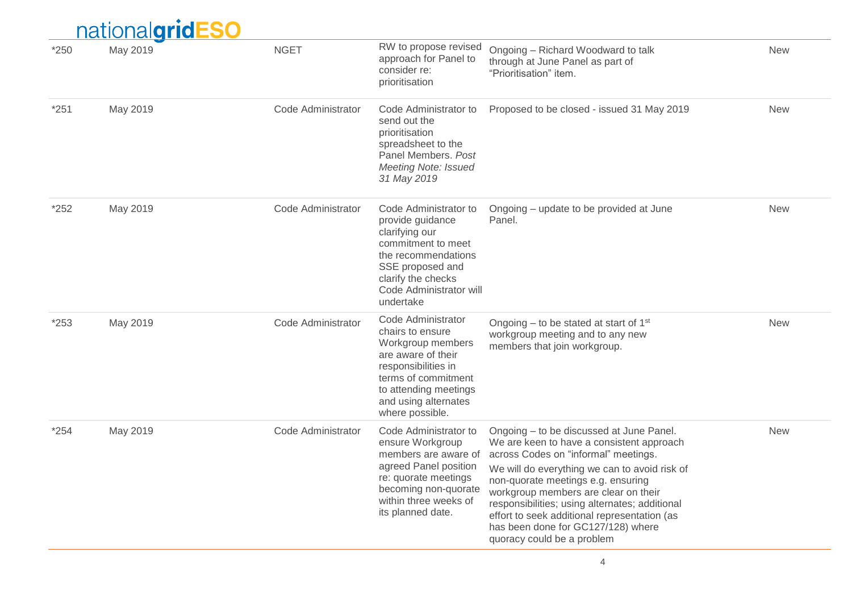|        | <u>national<b>grid</b></u><br><b><u>-SO</u></b> |                    |                                                                                                                                                                                                     |                                                                                                                                                                                                                                                                                                                                                                                                                                    |            |
|--------|-------------------------------------------------|--------------------|-----------------------------------------------------------------------------------------------------------------------------------------------------------------------------------------------------|------------------------------------------------------------------------------------------------------------------------------------------------------------------------------------------------------------------------------------------------------------------------------------------------------------------------------------------------------------------------------------------------------------------------------------|------------|
| $*250$ | May 2019                                        | <b>NGET</b>        | RW to propose revised<br>approach for Panel to<br>consider re:<br>prioritisation                                                                                                                    | Ongoing - Richard Woodward to talk<br>through at June Panel as part of<br>"Prioritisation" item.                                                                                                                                                                                                                                                                                                                                   | <b>New</b> |
| $*251$ | May 2019                                        | Code Administrator | Code Administrator to<br>send out the<br>prioritisation<br>spreadsheet to the<br>Panel Members. Post<br><b>Meeting Note: Issued</b><br>31 May 2019                                                  | Proposed to be closed - issued 31 May 2019                                                                                                                                                                                                                                                                                                                                                                                         | <b>New</b> |
| $*252$ | May 2019                                        | Code Administrator | Code Administrator to<br>provide guidance<br>clarifying our<br>commitment to meet<br>the recommendations<br>SSE proposed and<br>clarify the checks<br>Code Administrator will<br>undertake          | Ongoing – update to be provided at June<br>Panel.                                                                                                                                                                                                                                                                                                                                                                                  | <b>New</b> |
| $*253$ | May 2019                                        | Code Administrator | Code Administrator<br>chairs to ensure<br>Workgroup members<br>are aware of their<br>responsibilities in<br>terms of commitment<br>to attending meetings<br>and using alternates<br>where possible. | Ongoing $-$ to be stated at start of 1 <sup>st</sup><br>workgroup meeting and to any new<br>members that join workgroup.                                                                                                                                                                                                                                                                                                           | <b>New</b> |
| $*254$ | May 2019                                        | Code Administrator | Code Administrator to<br>ensure Workgroup<br>members are aware of<br>agreed Panel position<br>re: quorate meetings<br>becoming non-quorate<br>within three weeks of<br>its planned date.            | Ongoing – to be discussed at June Panel.<br>We are keen to have a consistent approach<br>across Codes on "informal" meetings.<br>We will do everything we can to avoid risk of<br>non-quorate meetings e.g. ensuring<br>workgroup members are clear on their<br>responsibilities; using alternates; additional<br>effort to seek additional representation (as<br>has been done for GC127/128) where<br>quoracy could be a problem | <b>New</b> |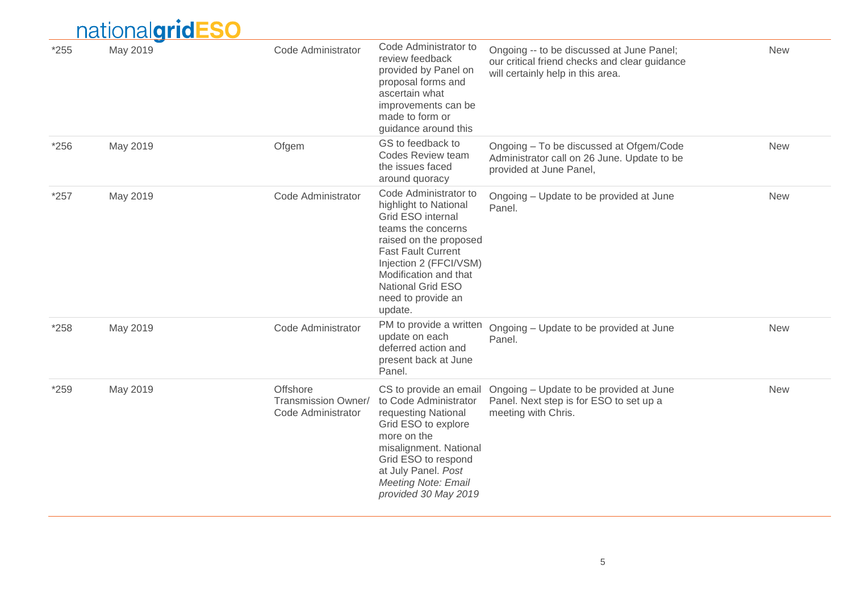| $*255$ | May 2019 | Code Administrator                                    | Code Administrator to<br>review feedback<br>provided by Panel on<br>proposal forms and<br>ascertain what<br>improvements can be<br>made to form or<br>guidance around this                                                                                       | Ongoing -- to be discussed at June Panel;<br>our critical friend checks and clear guidance<br>will certainly help in this area. | <b>New</b> |
|--------|----------|-------------------------------------------------------|------------------------------------------------------------------------------------------------------------------------------------------------------------------------------------------------------------------------------------------------------------------|---------------------------------------------------------------------------------------------------------------------------------|------------|
| $*256$ | May 2019 | Ofgem                                                 | GS to feedback to<br>Codes Review team<br>the issues faced<br>around quoracy                                                                                                                                                                                     | Ongoing - To be discussed at Ofgem/Code<br>Administrator call on 26 June. Update to be<br>provided at June Panel,               | <b>New</b> |
| $*257$ | May 2019 | Code Administrator                                    | Code Administrator to<br>highlight to National<br>Grid ESO internal<br>teams the concerns<br>raised on the proposed<br><b>Fast Fault Current</b><br>Injection 2 (FFCI/VSM)<br>Modification and that<br><b>National Grid ESO</b><br>need to provide an<br>update. | Ongoing – Update to be provided at June<br>Panel.                                                                               | <b>New</b> |
| *258   | May 2019 | Code Administrator                                    | PM to provide a written<br>update on each<br>deferred action and<br>present back at June<br>Panel.                                                                                                                                                               | Ongoing - Update to be provided at June<br>Panel.                                                                               | <b>New</b> |
| *259   | May 2019 | Offshore<br>Transmission Owner/<br>Code Administrator | CS to provide an email<br>to Code Administrator<br>requesting National<br>Grid ESO to explore<br>more on the<br>misalignment. National<br>Grid ESO to respond<br>at July Panel. Post<br><b>Meeting Note: Email</b><br>provided 30 May 2019                       | Ongoing - Update to be provided at June<br>Panel. Next step is for ESO to set up a<br>meeting with Chris.                       | <b>New</b> |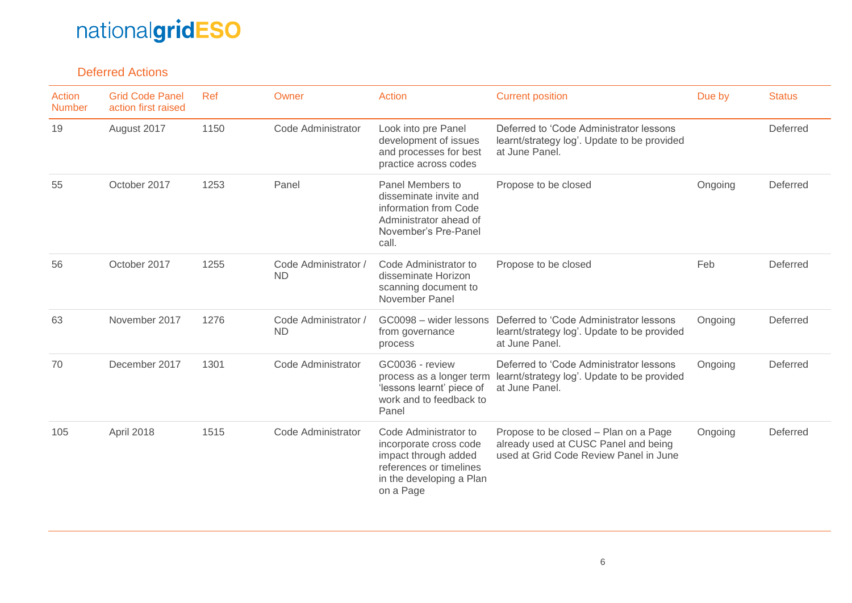#### Deferred Actions

| Action<br><b>Number</b> | <b>Grid Code Panel</b><br>action first raised | Ref  | Owner                             | <b>Action</b>                                                                                                                               | <b>Current position</b>                                                                                                 | Due by  | <b>Status</b> |
|-------------------------|-----------------------------------------------|------|-----------------------------------|---------------------------------------------------------------------------------------------------------------------------------------------|-------------------------------------------------------------------------------------------------------------------------|---------|---------------|
| 19                      | August 2017                                   | 1150 | Code Administrator                | Look into pre Panel<br>development of issues<br>and processes for best<br>practice across codes                                             | Deferred to 'Code Administrator lessons<br>learnt/strategy log'. Update to be provided<br>at June Panel.                |         | Deferred      |
| 55                      | October 2017                                  | 1253 | Panel                             | Panel Members to<br>disseminate invite and<br>information from Code<br>Administrator ahead of<br>November's Pre-Panel<br>call.              | Propose to be closed                                                                                                    | Ongoing | Deferred      |
| 56                      | October 2017                                  | 1255 | Code Administrator /<br><b>ND</b> | Code Administrator to<br>disseminate Horizon<br>scanning document to<br>November Panel                                                      | Propose to be closed                                                                                                    | Feb     | Deferred      |
| 63                      | November 2017                                 | 1276 | Code Administrator /<br><b>ND</b> | GC0098 - wider lessons<br>from governance<br>process                                                                                        | Deferred to 'Code Administrator lessons<br>learnt/strategy log'. Update to be provided<br>at June Panel.                | Ongoing | Deferred      |
| 70                      | December 2017                                 | 1301 | Code Administrator                | GC0036 - review<br>process as a longer term<br>'lessons learnt' piece of<br>work and to feedback to<br>Panel                                | Deferred to 'Code Administrator lessons<br>learnt/strategy log'. Update to be provided<br>at June Panel.                | Ongoing | Deferred      |
| 105                     | April 2018                                    | 1515 | Code Administrator                | Code Administrator to<br>incorporate cross code<br>impact through added<br>references or timelines<br>in the developing a Plan<br>on a Page | Propose to be closed - Plan on a Page<br>already used at CUSC Panel and being<br>used at Grid Code Review Panel in June | Ongoing | Deferred      |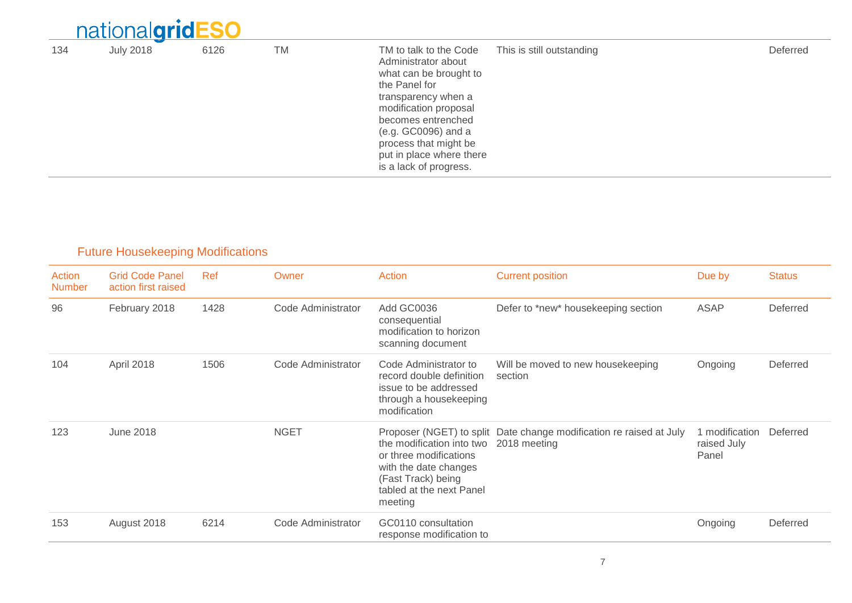|     | nationalgridESO  |      |           |                                                                                                                                                                                                                                                                      |                           |          |
|-----|------------------|------|-----------|----------------------------------------------------------------------------------------------------------------------------------------------------------------------------------------------------------------------------------------------------------------------|---------------------------|----------|
| 134 | <b>July 2018</b> | 6126 | <b>TM</b> | TM to talk to the Code<br>Administrator about<br>what can be brought to<br>the Panel for<br>transparency when a<br>modification proposal<br>becomes entrenched<br>(e.g. GC0096) and a<br>process that might be<br>put in place where there<br>is a lack of progress. | This is still outstanding | Deferred |

### Future Housekeeping Modifications

| Action<br><b>Number</b> | <b>Grid Code Panel</b><br>action first raised | Ref  | Owner              | <b>Action</b>                                                                                                                             | <b>Current position</b>                                                             | Due by                                 | <b>Status</b> |
|-------------------------|-----------------------------------------------|------|--------------------|-------------------------------------------------------------------------------------------------------------------------------------------|-------------------------------------------------------------------------------------|----------------------------------------|---------------|
| 96                      | February 2018                                 | 1428 | Code Administrator | Add GC0036<br>consequential<br>modification to horizon<br>scanning document                                                               | Defer to *new* housekeeping section                                                 | <b>ASAP</b>                            | Deferred      |
| 104                     | April 2018                                    | 1506 | Code Administrator | Code Administrator to<br>record double definition<br>issue to be addressed<br>through a housekeeping<br>modification                      | Will be moved to new housekeeping<br>section                                        | Ongoing                                | Deferred      |
| 123                     | <b>June 2018</b>                              |      | <b>NGET</b>        | the modification into two<br>or three modifications<br>with the date changes<br>(Fast Track) being<br>tabled at the next Panel<br>meeting | Proposer (NGET) to split Date change modification re raised at July<br>2018 meeting | 1 modification<br>raised July<br>Panel | Deferred      |
| 153                     | August 2018                                   | 6214 | Code Administrator | GC0110 consultation<br>response modification to                                                                                           |                                                                                     | Ongoing                                | Deferred      |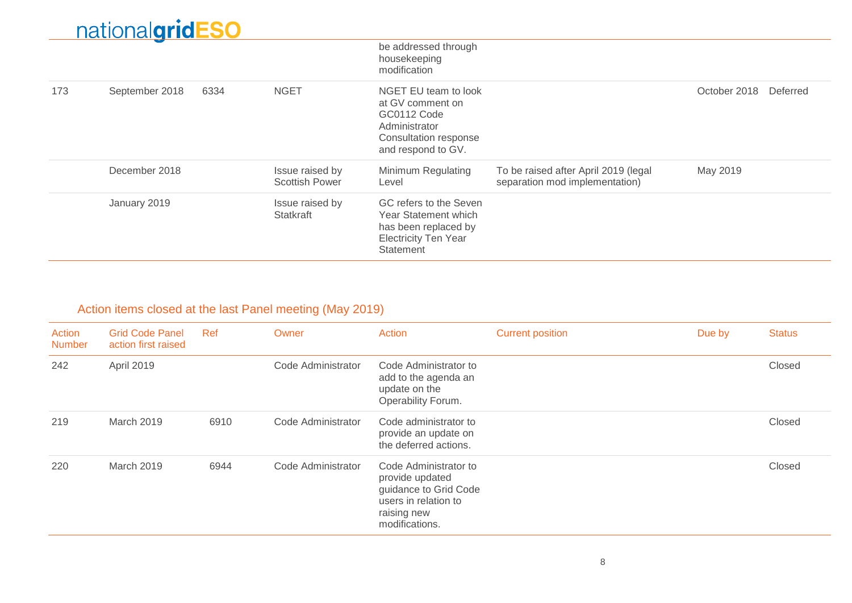|     |                |      |                                          | be addressed through<br>housekeeping<br>modification                                                                           |                                                                        |              |          |
|-----|----------------|------|------------------------------------------|--------------------------------------------------------------------------------------------------------------------------------|------------------------------------------------------------------------|--------------|----------|
| 173 | September 2018 | 6334 | <b>NGET</b>                              | NGET EU team to look<br>at GV comment on<br>GC0112 Code<br>Administrator<br><b>Consultation response</b><br>and respond to GV. |                                                                        | October 2018 | Deferred |
|     | December 2018  |      | Issue raised by<br><b>Scottish Power</b> | Minimum Regulating<br>Level                                                                                                    | To be raised after April 2019 (legal<br>separation mod implementation) | May 2019     |          |
|     | January 2019   |      | Issue raised by<br>Statkraft             | GC refers to the Seven<br>Year Statement which<br>has been replaced by<br><b>Electricity Ten Year</b><br>Statement             |                                                                        |              |          |

### Action items closed at the last Panel meeting (May 2019)

| Action<br><b>Number</b> | <b>Grid Code Panel</b><br>action first raised | Ref  | Owner              | Action                                                                                                                     | <b>Current position</b> | Due by | <b>Status</b> |
|-------------------------|-----------------------------------------------|------|--------------------|----------------------------------------------------------------------------------------------------------------------------|-------------------------|--------|---------------|
| 242                     | April 2019                                    |      | Code Administrator | Code Administrator to<br>add to the agenda an<br>update on the<br>Operability Forum.                                       |                         |        | Closed        |
| 219                     | March 2019                                    | 6910 | Code Administrator | Code administrator to<br>provide an update on<br>the deferred actions.                                                     |                         |        | Closed        |
| 220                     | March 2019                                    | 6944 | Code Administrator | Code Administrator to<br>provide updated<br>guidance to Grid Code<br>users in relation to<br>raising new<br>modifications. |                         |        | Closed        |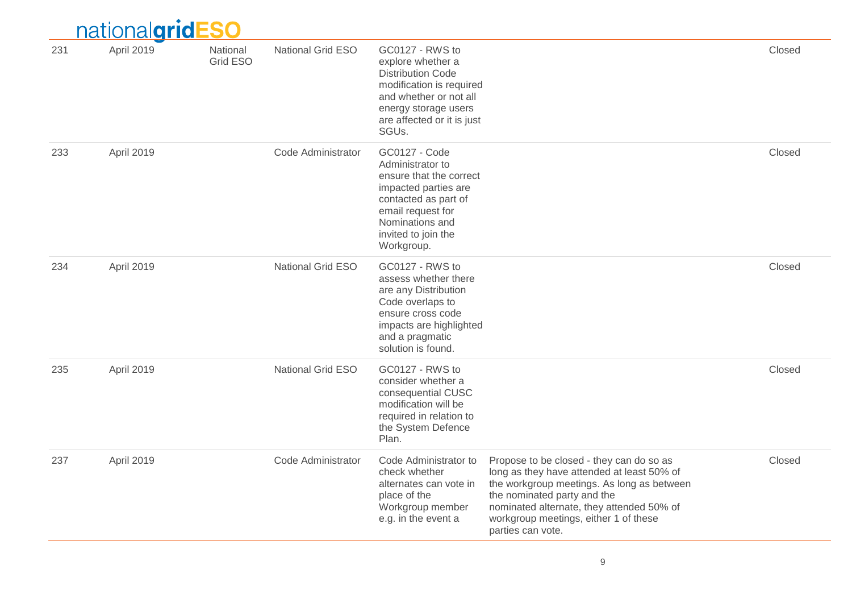|     | <u>nationalgridl</u> | SO                   |                          |                                                                                                                                                                                           |                                                                                                                                                                                                                                                                                |        |
|-----|----------------------|----------------------|--------------------------|-------------------------------------------------------------------------------------------------------------------------------------------------------------------------------------------|--------------------------------------------------------------------------------------------------------------------------------------------------------------------------------------------------------------------------------------------------------------------------------|--------|
| 231 | April 2019           | National<br>Grid ESO | <b>National Grid ESO</b> | GC0127 - RWS to<br>explore whether a<br><b>Distribution Code</b><br>modification is required<br>and whether or not all<br>energy storage users<br>are affected or it is just<br>SGUs.     |                                                                                                                                                                                                                                                                                | Closed |
| 233 | April 2019           |                      | Code Administrator       | GC0127 - Code<br>Administrator to<br>ensure that the correct<br>impacted parties are<br>contacted as part of<br>email request for<br>Nominations and<br>invited to join the<br>Workgroup. |                                                                                                                                                                                                                                                                                | Closed |
| 234 | April 2019           |                      | <b>National Grid ESO</b> | GC0127 - RWS to<br>assess whether there<br>are any Distribution<br>Code overlaps to<br>ensure cross code<br>impacts are highlighted<br>and a pragmatic<br>solution is found.              |                                                                                                                                                                                                                                                                                | Closed |
| 235 | April 2019           |                      | <b>National Grid ESO</b> | GC0127 - RWS to<br>consider whether a<br>consequential CUSC<br>modification will be<br>required in relation to<br>the System Defence<br>Plan.                                             |                                                                                                                                                                                                                                                                                | Closed |
| 237 | April 2019           |                      | Code Administrator       | Code Administrator to<br>check whether<br>alternates can vote in<br>place of the<br>Workgroup member<br>e.g. in the event a                                                               | Propose to be closed - they can do so as<br>long as they have attended at least 50% of<br>the workgroup meetings. As long as between<br>the nominated party and the<br>nominated alternate, they attended 50% of<br>workgroup meetings, either 1 of these<br>parties can vote. | Closed |